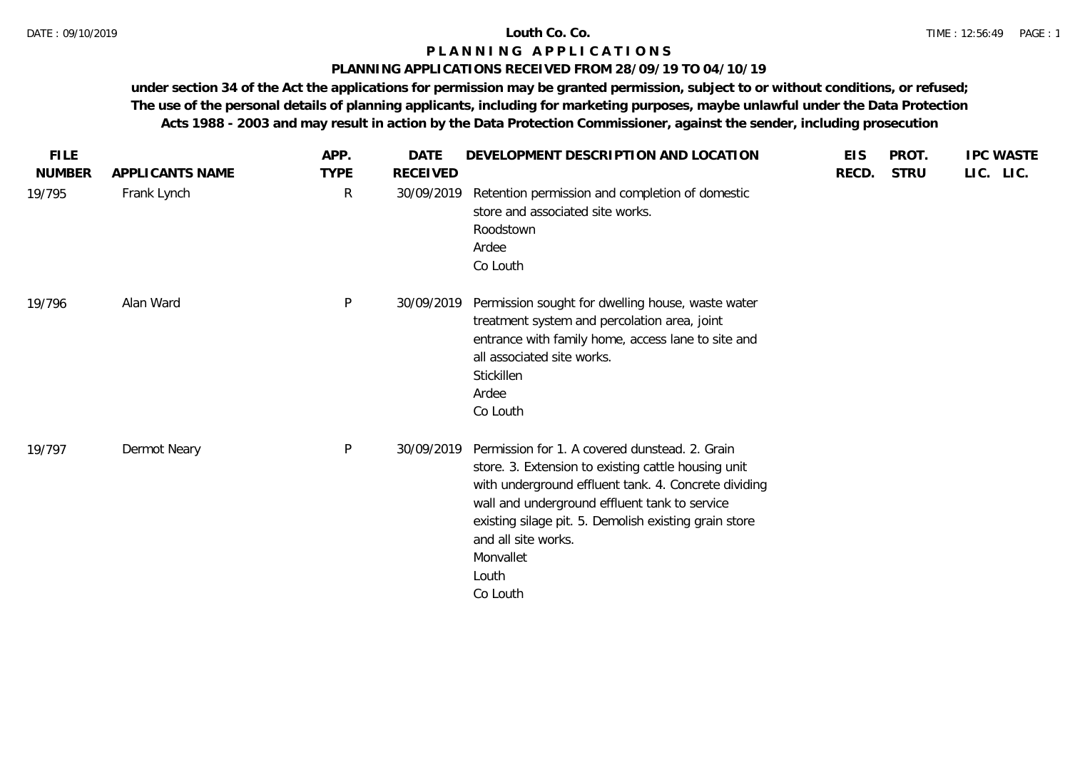## **PLANNING APPLICATIONS RECEIVED FROM 28/09/19 TO 04/10/19**

| <b>FILE</b>   |                 | APP.         | <b>DATE</b>     | DEVELOPMENT DESCRIPTION AND LOCATION                                                                                                                                                                                                                                                                                             | <b>EIS</b> | PROT.       | <b>IPC WASTE</b> |
|---------------|-----------------|--------------|-----------------|----------------------------------------------------------------------------------------------------------------------------------------------------------------------------------------------------------------------------------------------------------------------------------------------------------------------------------|------------|-------------|------------------|
| <b>NUMBER</b> | APPLICANTS NAME | <b>TYPE</b>  | <b>RECEIVED</b> |                                                                                                                                                                                                                                                                                                                                  | RECD.      | <b>STRU</b> | LIC. LIC.        |
| 19/795        | Frank Lynch     | $\mathsf{R}$ | 30/09/2019      | Retention permission and completion of domestic<br>store and associated site works.<br>Roodstown<br>Ardee<br>Co Louth                                                                                                                                                                                                            |            |             |                  |
| 19/796        | Alan Ward       | P            | 30/09/2019      | Permission sought for dwelling house, waste water<br>treatment system and percolation area, joint<br>entrance with family home, access lane to site and<br>all associated site works.<br>Stickillen<br>Ardee<br>Co Louth                                                                                                         |            |             |                  |
| 19/797        | Dermot Neary    | P            | 30/09/2019      | Permission for 1. A covered dunstead. 2. Grain<br>store. 3. Extension to existing cattle housing unit<br>with underground effluent tank. 4. Concrete dividing<br>wall and underground effluent tank to service<br>existing silage pit. 5. Demolish existing grain store<br>and all site works.<br>Monvallet<br>Louth<br>Co Louth |            |             |                  |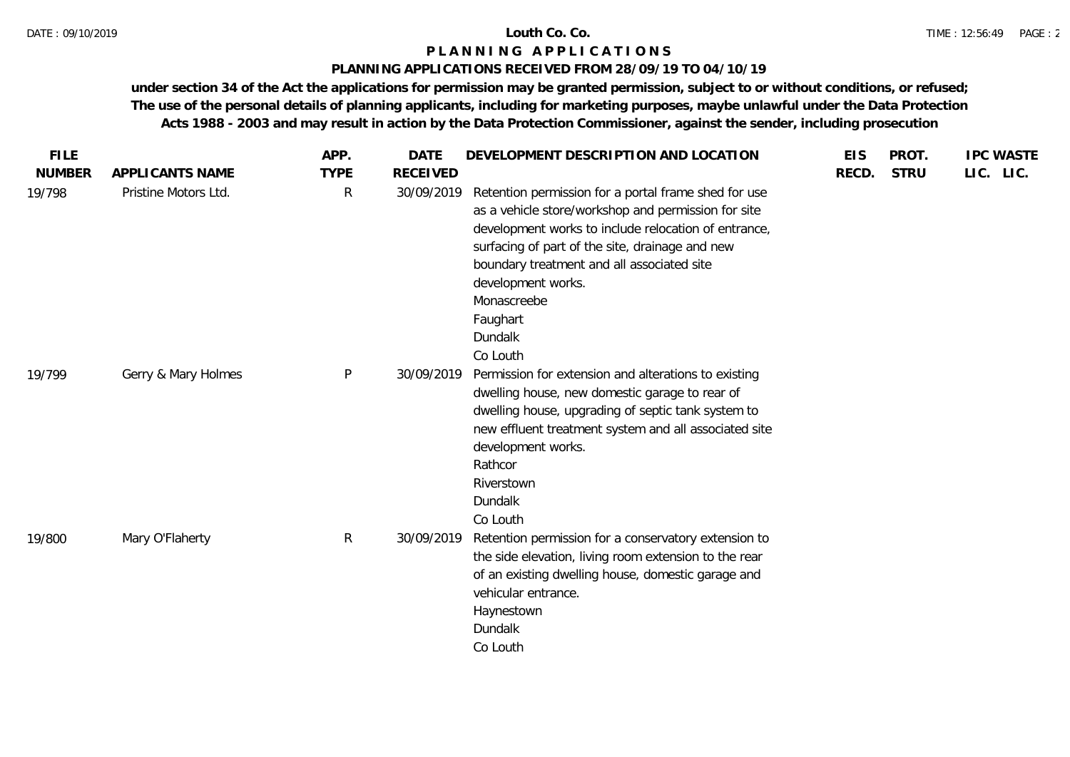# **PLANNING APPLICATIONS RECEIVED FROM 28/09/19 TO 04/10/19**

| <b>FILE</b>   |                      | APP.         | <b>DATE</b>     | DEVELOPMENT DESCRIPTION AND LOCATION                                                                                                                                                                                                                                                                                                         | <b>EIS</b> | PROT.       | <b>IPC WASTE</b> |
|---------------|----------------------|--------------|-----------------|----------------------------------------------------------------------------------------------------------------------------------------------------------------------------------------------------------------------------------------------------------------------------------------------------------------------------------------------|------------|-------------|------------------|
| <b>NUMBER</b> | APPLICANTS NAME      | <b>TYPE</b>  | <b>RECEIVED</b> |                                                                                                                                                                                                                                                                                                                                              | RECD.      | <b>STRU</b> | LIC. LIC.        |
| 19/798        | Pristine Motors Ltd. | $\mathsf{R}$ | 30/09/2019      | Retention permission for a portal frame shed for use<br>as a vehicle store/workshop and permission for site<br>development works to include relocation of entrance,<br>surfacing of part of the site, drainage and new<br>boundary treatment and all associated site<br>development works.<br>Monascreebe<br>Faughart<br>Dundalk<br>Co Louth |            |             |                  |
| 19/799        | Gerry & Mary Holmes  | P            | 30/09/2019      | Permission for extension and alterations to existing<br>dwelling house, new domestic garage to rear of<br>dwelling house, upgrading of septic tank system to<br>new effluent treatment system and all associated site<br>development works.<br>Rathcor<br>Riverstown<br>Dundalk<br>Co Louth                                                  |            |             |                  |
| 19/800        | Mary O'Flaherty      | $\mathsf{R}$ | 30/09/2019      | Retention permission for a conservatory extension to<br>the side elevation, living room extension to the rear<br>of an existing dwelling house, domestic garage and<br>vehicular entrance.<br>Haynestown<br>Dundalk<br>Co Louth                                                                                                              |            |             |                  |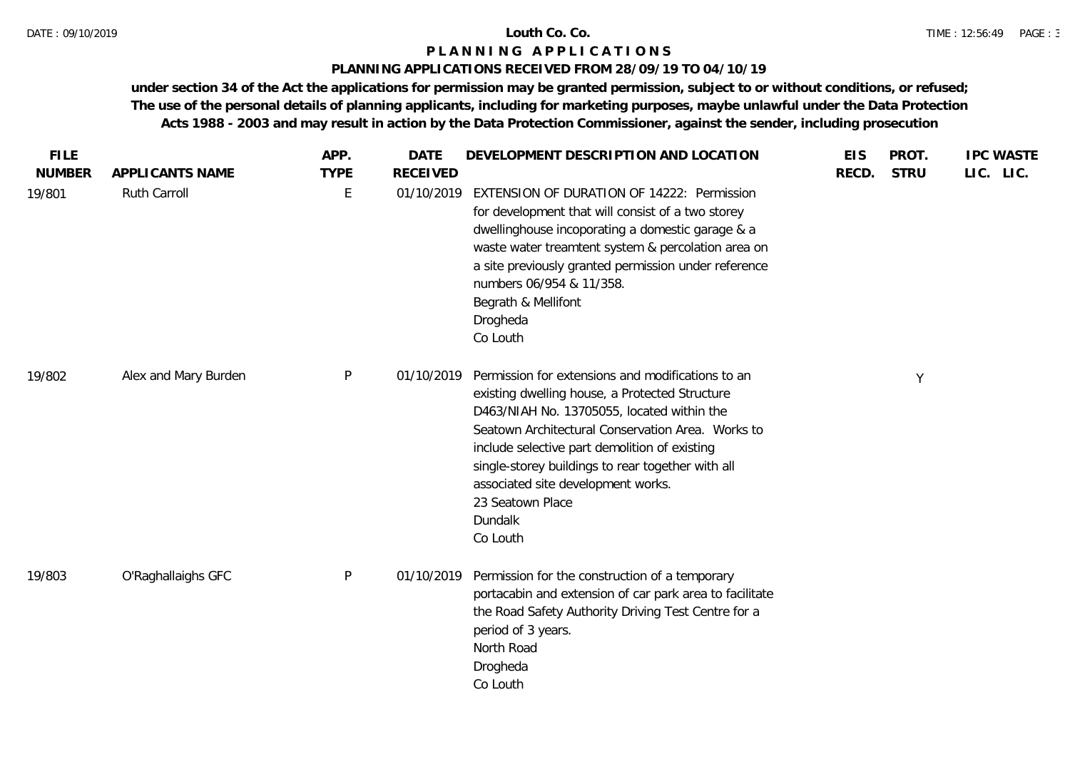## **PLANNING APPLICATIONS RECEIVED FROM 28/09/19 TO 04/10/19**

| <b>FILE</b><br><b>NUMBER</b> | APPLICANTS NAME      | APP.<br><b>TYPE</b> | <b>DATE</b><br><b>RECEIVED</b> | DEVELOPMENT DESCRIPTION AND LOCATION                                                                                                                                                                                                                                                                                                                                                          | <b>EIS</b><br>RECD. | PROT.<br><b>STRU</b> | <b>IPC WASTE</b><br>LIC. LIC. |
|------------------------------|----------------------|---------------------|--------------------------------|-----------------------------------------------------------------------------------------------------------------------------------------------------------------------------------------------------------------------------------------------------------------------------------------------------------------------------------------------------------------------------------------------|---------------------|----------------------|-------------------------------|
| 19/801                       | <b>Ruth Carroll</b>  | E                   | 01/10/2019                     | <b>EXTENSION OF DURATION OF 14222: Permission</b><br>for development that will consist of a two storey<br>dwellinghouse incoporating a domestic garage & a<br>waste water treamtent system & percolation area on<br>a site previously granted permission under reference<br>numbers 06/954 & 11/358.<br>Begrath & Mellifont<br>Drogheda<br>Co Louth                                           |                     |                      |                               |
| 19/802                       | Alex and Mary Burden | $\mathsf{P}$        | 01/10/2019                     | Permission for extensions and modifications to an<br>existing dwelling house, a Protected Structure<br>D463/NIAH No. 13705055, located within the<br>Seatown Architectural Conservation Area. Works to<br>include selective part demolition of existing<br>single-storey buildings to rear together with all<br>associated site development works.<br>23 Seatown Place<br>Dundalk<br>Co Louth |                     | Y                    |                               |
| 19/803                       | O'Raghallaighs GFC   | P                   | 01/10/2019                     | Permission for the construction of a temporary<br>portacabin and extension of car park area to facilitate<br>the Road Safety Authority Driving Test Centre for a<br>period of 3 years.<br>North Road<br>Drogheda<br>Co Louth                                                                                                                                                                  |                     |                      |                               |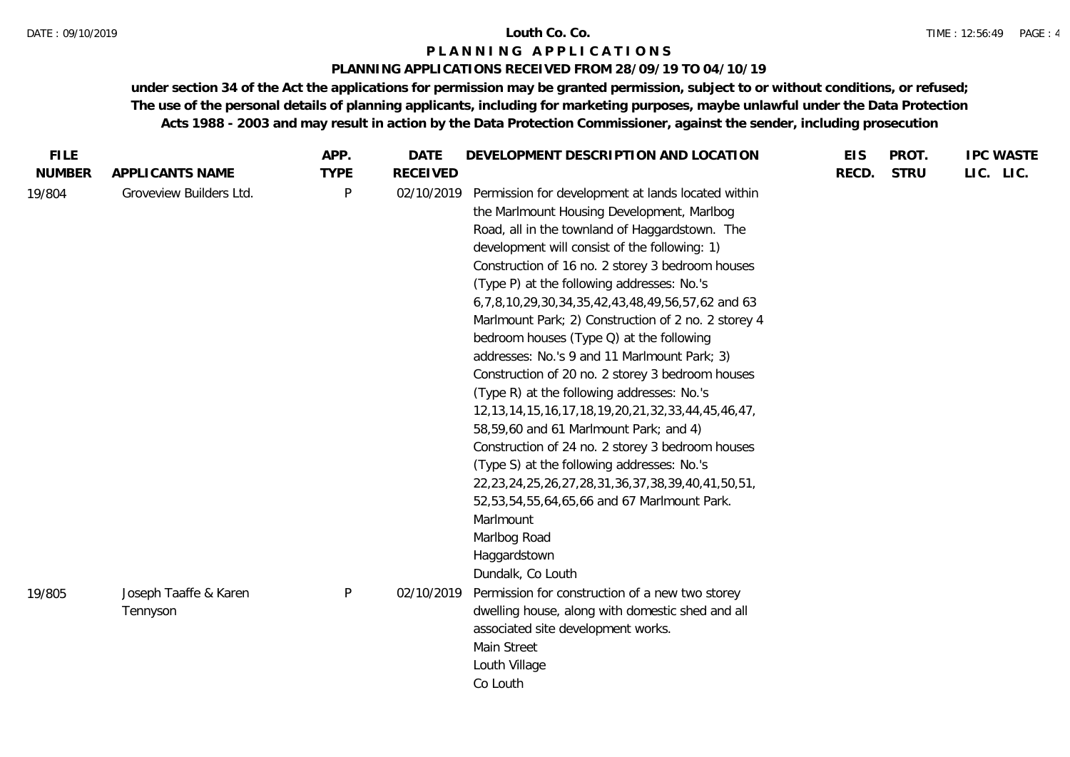## **PLANNING APPLICATIONS RECEIVED FROM 28/09/19 TO 04/10/19**

| <b>FILE</b>   |                                   | APP.         | <b>DATE</b>     | DEVELOPMENT DESCRIPTION AND LOCATION                                                                                                                                                                                                                                                                                                                                                                                                                                                                                                                                                                                                                                                                                                                                                                                                                                                                                                                                                                                            | <b>EIS</b> | PROT.       | <b>IPC WASTE</b> |
|---------------|-----------------------------------|--------------|-----------------|---------------------------------------------------------------------------------------------------------------------------------------------------------------------------------------------------------------------------------------------------------------------------------------------------------------------------------------------------------------------------------------------------------------------------------------------------------------------------------------------------------------------------------------------------------------------------------------------------------------------------------------------------------------------------------------------------------------------------------------------------------------------------------------------------------------------------------------------------------------------------------------------------------------------------------------------------------------------------------------------------------------------------------|------------|-------------|------------------|
| <b>NUMBER</b> | APPLICANTS NAME                   | <b>TYPE</b>  | <b>RECEIVED</b> |                                                                                                                                                                                                                                                                                                                                                                                                                                                                                                                                                                                                                                                                                                                                                                                                                                                                                                                                                                                                                                 | RECD.      | <b>STRU</b> | LIC. LIC.        |
| 19/804        | Groveview Builders Ltd.           | $\mathsf{P}$ | 02/10/2019      | Permission for development at lands located within<br>the Marlmount Housing Development, Marlbog<br>Road, all in the townland of Haggardstown. The<br>development will consist of the following: 1)<br>Construction of 16 no. 2 storey 3 bedroom houses<br>(Type P) at the following addresses: No.'s<br>6, 7, 8, 10, 29, 30, 34, 35, 42, 43, 48, 49, 56, 57, 62 and 63<br>Marlmount Park; 2) Construction of 2 no. 2 storey 4<br>bedroom houses (Type Q) at the following<br>addresses: No.'s 9 and 11 Marlmount Park; 3)<br>Construction of 20 no. 2 storey 3 bedroom houses<br>(Type R) at the following addresses: No.'s<br>12, 13, 14, 15, 16, 17, 18, 19, 20, 21, 32, 33, 44, 45, 46, 47,<br>58,59,60 and 61 Marlmount Park; and 4)<br>Construction of 24 no. 2 storey 3 bedroom houses<br>(Type S) at the following addresses: No.'s<br>22, 23, 24, 25, 26, 27, 28, 31, 36, 37, 38, 39, 40, 41, 50, 51,<br>52,53,54,55,64,65,66 and 67 Marlmount Park.<br>Marlmount<br>Marlbog Road<br>Haggardstown<br>Dundalk, Co Louth |            |             |                  |
| 19/805        | Joseph Taaffe & Karen<br>Tennyson | P            | 02/10/2019      | Permission for construction of a new two storey<br>dwelling house, along with domestic shed and all                                                                                                                                                                                                                                                                                                                                                                                                                                                                                                                                                                                                                                                                                                                                                                                                                                                                                                                             |            |             |                  |
|               |                                   |              |                 | associated site development works.<br>Main Street                                                                                                                                                                                                                                                                                                                                                                                                                                                                                                                                                                                                                                                                                                                                                                                                                                                                                                                                                                               |            |             |                  |
|               |                                   |              |                 | Louth Village<br>Co Louth                                                                                                                                                                                                                                                                                                                                                                                                                                                                                                                                                                                                                                                                                                                                                                                                                                                                                                                                                                                                       |            |             |                  |
|               |                                   |              |                 |                                                                                                                                                                                                                                                                                                                                                                                                                                                                                                                                                                                                                                                                                                                                                                                                                                                                                                                                                                                                                                 |            |             |                  |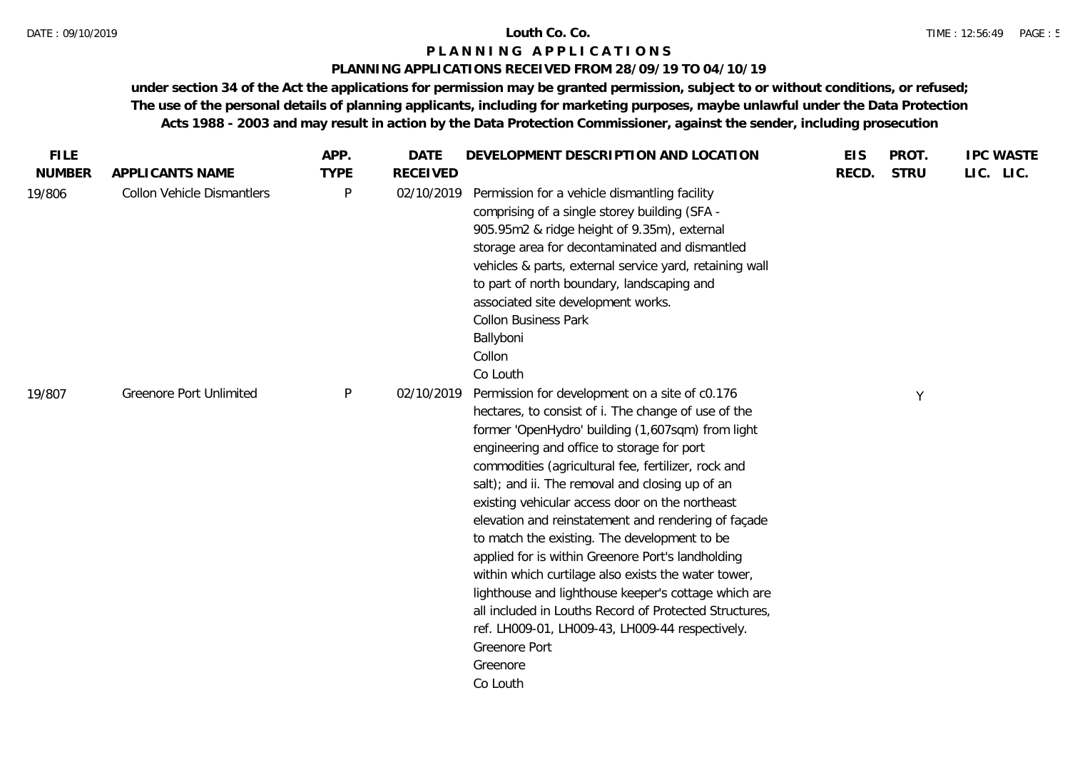# **PLANNING APPLICATIONS RECEIVED FROM 28/09/19 TO 04/10/19**

| <b>FILE</b>   |                                   | APP.         | <b>DATE</b>     | DEVELOPMENT DESCRIPTION AND LOCATION                                                                                                                                                                                                                                                                                                                                                                                                                                                                                                                                                                                                                                                                                                                                                                   | <b>EIS</b> | PROT.       | <b>IPC WASTE</b> |
|---------------|-----------------------------------|--------------|-----------------|--------------------------------------------------------------------------------------------------------------------------------------------------------------------------------------------------------------------------------------------------------------------------------------------------------------------------------------------------------------------------------------------------------------------------------------------------------------------------------------------------------------------------------------------------------------------------------------------------------------------------------------------------------------------------------------------------------------------------------------------------------------------------------------------------------|------------|-------------|------------------|
| <b>NUMBER</b> | APPLICANTS NAME                   | <b>TYPE</b>  | <b>RECEIVED</b> |                                                                                                                                                                                                                                                                                                                                                                                                                                                                                                                                                                                                                                                                                                                                                                                                        | RECD.      | <b>STRU</b> | LIC. LIC.        |
| 19/806        | <b>Collon Vehicle Dismantlers</b> | P            | 02/10/2019      | Permission for a vehicle dismantling facility<br>comprising of a single storey building (SFA -<br>905.95m2 & ridge height of 9.35m), external<br>storage area for decontaminated and dismantled<br>vehicles & parts, external service yard, retaining wall<br>to part of north boundary, landscaping and<br>associated site development works.<br><b>Collon Business Park</b><br>Ballyboni<br>Collon<br>Co Louth                                                                                                                                                                                                                                                                                                                                                                                       |            |             |                  |
| 19/807        | <b>Greenore Port Unlimited</b>    | $\mathsf{P}$ | 02/10/2019      | Permission for development on a site of c0.176<br>hectares, to consist of i. The change of use of the<br>former 'OpenHydro' building (1,607sqm) from light<br>engineering and office to storage for port<br>commodities (agricultural fee, fertilizer, rock and<br>salt); and ii. The removal and closing up of an<br>existing vehicular access door on the northeast<br>elevation and reinstatement and rendering of façade<br>to match the existing. The development to be<br>applied for is within Greenore Port's landholding<br>within which curtilage also exists the water tower,<br>lighthouse and lighthouse keeper's cottage which are<br>all included in Louths Record of Protected Structures,<br>ref. LH009-01, LH009-43, LH009-44 respectively.<br>Greenore Port<br>Greenore<br>Co Louth |            | Y           |                  |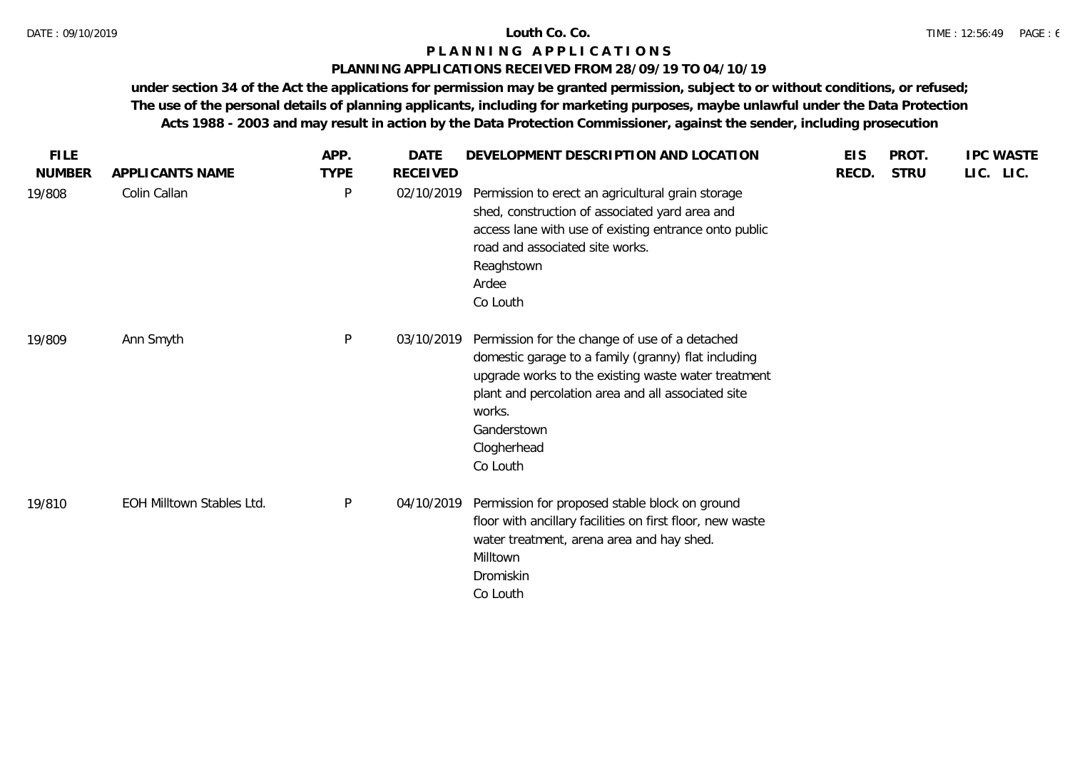# **PLANNING APPLICATIONS RECEIVED FROM 28/09/19 TO 04/10/19**

|                           | APP.         | <b>DATE</b>     | DEVELOPMENT DESCRIPTION AND LOCATION                                                                                                                                                                                                                                   | <b>EIS</b>                             | PROT.       | <b>IPC WASTE</b> |
|---------------------------|--------------|-----------------|------------------------------------------------------------------------------------------------------------------------------------------------------------------------------------------------------------------------------------------------------------------------|----------------------------------------|-------------|------------------|
| APPLICANTS NAME           | <b>TYPE</b>  | <b>RECEIVED</b> |                                                                                                                                                                                                                                                                        | RECD.                                  | <b>STRU</b> | LIC. LIC.        |
| Colin Callan              | $\sf P$      |                 | Permission to erect an agricultural grain storage<br>shed, construction of associated yard area and<br>access lane with use of existing entrance onto public<br>road and associated site works.<br>Reaghstown<br>Ardee<br>Co Louth                                     |                                        |             |                  |
| Ann Smyth                 | $\sf P$      |                 | Permission for the change of use of a detached<br>domestic garage to a family (granny) flat including<br>upgrade works to the existing waste water treatment<br>plant and percolation area and all associated site<br>works.<br>Ganderstown<br>Clogherhead<br>Co Louth |                                        |             |                  |
| EOH Milltown Stables Ltd. | $\mathsf{P}$ |                 | Permission for proposed stable block on ground<br>floor with ancillary facilities on first floor, new waste<br>water treatment, arena area and hay shed.<br>Milltown<br>Dromiskin<br>Co Louth                                                                          |                                        |             |                  |
|                           |              |                 |                                                                                                                                                                                                                                                                        | 02/10/2019<br>03/10/2019<br>04/10/2019 |             |                  |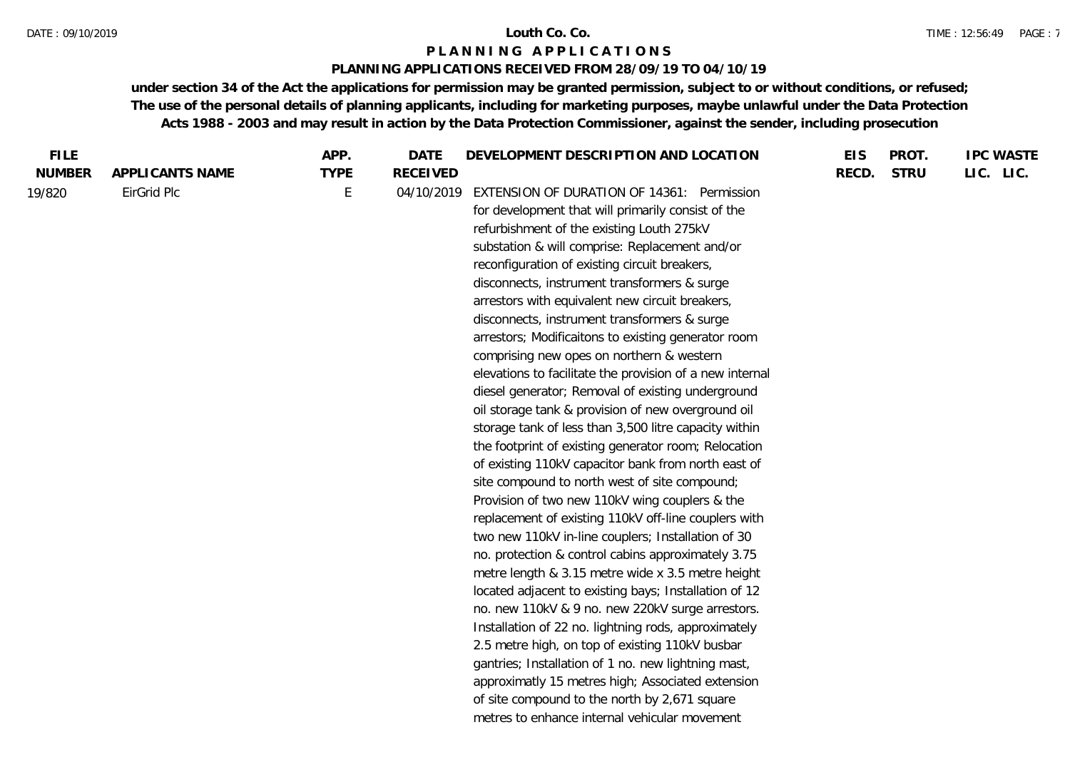### DATE : 09/10/2019 **Louth Co. Co.**

# **P L A N N I N G A P P L I C A T I O N S**

## **PLANNING APPLICATIONS RECEIVED FROM 28/09/19 TO 04/10/19**

| <b>FILE</b>   |                 | APP.        | <b>DATE</b>     | DEVELOPMENT DESCRIPTION AND LOCATION                     | <b>EIS</b> | PROT.       | <b>IPC WASTE</b> |
|---------------|-----------------|-------------|-----------------|----------------------------------------------------------|------------|-------------|------------------|
| <b>NUMBER</b> | APPLICANTS NAME | <b>TYPE</b> | <b>RECEIVED</b> |                                                          | RECD.      | <b>STRU</b> | LIC. LIC.        |
| 19/820        | EirGrid Plc     | E           | 04/10/2019      | EXTENSION OF DURATION OF 14361: Permission               |            |             |                  |
|               |                 |             |                 | for development that will primarily consist of the       |            |             |                  |
|               |                 |             |                 | refurbishment of the existing Louth 275kV                |            |             |                  |
|               |                 |             |                 | substation & will comprise: Replacement and/or           |            |             |                  |
|               |                 |             |                 | reconfiguration of existing circuit breakers,            |            |             |                  |
|               |                 |             |                 | disconnects, instrument transformers & surge             |            |             |                  |
|               |                 |             |                 | arrestors with equivalent new circuit breakers,          |            |             |                  |
|               |                 |             |                 | disconnects, instrument transformers & surge             |            |             |                  |
|               |                 |             |                 | arrestors; Modificaitons to existing generator room      |            |             |                  |
|               |                 |             |                 | comprising new opes on northern & western                |            |             |                  |
|               |                 |             |                 | elevations to facilitate the provision of a new internal |            |             |                  |
|               |                 |             |                 | diesel generator; Removal of existing underground        |            |             |                  |
|               |                 |             |                 | oil storage tank & provision of new overground oil       |            |             |                  |
|               |                 |             |                 | storage tank of less than 3,500 litre capacity within    |            |             |                  |
|               |                 |             |                 | the footprint of existing generator room; Relocation     |            |             |                  |
|               |                 |             |                 | of existing 110kV capacitor bank from north east of      |            |             |                  |
|               |                 |             |                 | site compound to north west of site compound;            |            |             |                  |
|               |                 |             |                 | Provision of two new 110kV wing couplers & the           |            |             |                  |
|               |                 |             |                 | replacement of existing 110kV off-line couplers with     |            |             |                  |
|               |                 |             |                 | two new 110kV in-line couplers; Installation of 30       |            |             |                  |
|               |                 |             |                 | no. protection & control cabins approximately 3.75       |            |             |                  |
|               |                 |             |                 | metre length & 3.15 metre wide x 3.5 metre height        |            |             |                  |
|               |                 |             |                 | located adjacent to existing bays; Installation of 12    |            |             |                  |
|               |                 |             |                 | no. new 110kV & 9 no. new 220kV surge arrestors.         |            |             |                  |
|               |                 |             |                 | Installation of 22 no. lightning rods, approximately     |            |             |                  |
|               |                 |             |                 | 2.5 metre high, on top of existing 110kV busbar          |            |             |                  |
|               |                 |             |                 | gantries; Installation of 1 no. new lightning mast,      |            |             |                  |
|               |                 |             |                 | approximatly 15 metres high; Associated extension        |            |             |                  |
|               |                 |             |                 | of site compound to the north by 2,671 square            |            |             |                  |
|               |                 |             |                 | metres to enhance internal vehicular movement            |            |             |                  |
|               |                 |             |                 |                                                          |            |             |                  |